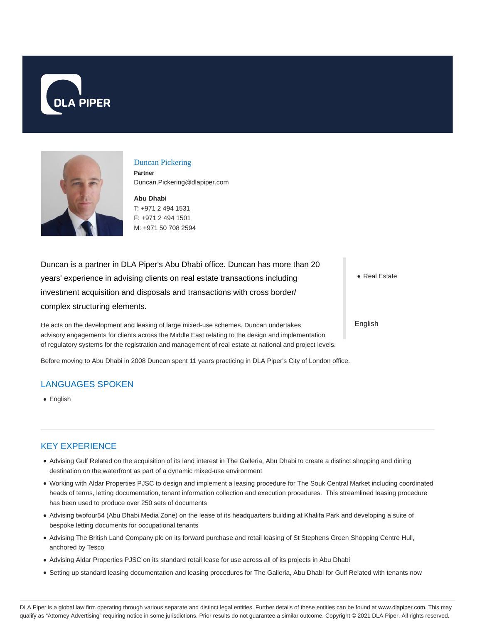



#### Duncan Pickering

**Partner** Duncan.Pickering@dlapiper.com

**Abu Dhabi** T: +971 2 494 1531 F: +971 2 494 1501 M: +971 50 708 2594

Duncan is a partner in DLA Piper's Abu Dhabi office. Duncan has more than 20 years' experience in advising clients on real estate transactions including investment acquisition and disposals and transactions with cross border/ complex structuring elements.

He acts on the development and leasing of large mixed-use schemes. Duncan undertakes advisory engagements for clients across the Middle East relating to the design and implementation of regulatory systems for the registration and management of real estate at national and project levels.

Before moving to Abu Dhabi in 2008 Duncan spent 11 years practicing in DLA Piper's City of London office.

# LANGUAGES SPOKEN

English

# KEY EXPERIENCE

- Advising Gulf Related on the acquisition of its land interest in The Galleria, Abu Dhabi to create a distinct shopping and dining destination on the waterfront as part of a dynamic mixed-use environment
- Working with Aldar Properties PJSC to design and implement a leasing procedure for The Souk Central Market including coordinated heads of terms, letting documentation, tenant information collection and execution procedures. This streamlined leasing procedure has been used to produce over 250 sets of documents
- Advising twofour54 (Abu Dhabi Media Zone) on the lease of its headquarters building at Khalifa Park and developing a suite of bespoke letting documents for occupational tenants
- Advising The British Land Company plc on its forward purchase and retail leasing of St Stephens Green Shopping Centre Hull, anchored by Tesco
- Advising Aldar Properties PJSC on its standard retail lease for use across all of its projects in Abu Dhabi
- Setting up standard leasing documentation and leasing procedures for The Galleria, Abu Dhabi for Gulf Related with tenants now

• Real Estate

English